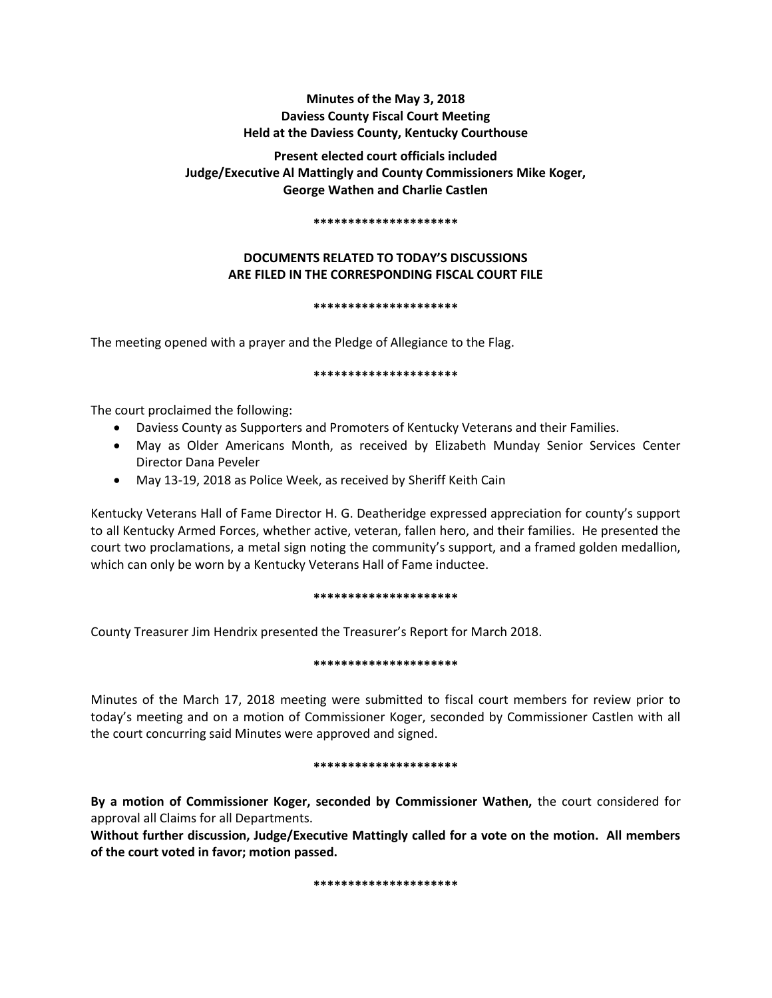# **Minutes of the May 3, 2018 Daviess County Fiscal Court Meeting Held at the Daviess County, Kentucky Courthouse**

# **Present elected court officials included Judge/Executive Al Mattingly and County Commissioners Mike Koger, George Wathen and Charlie Castlen**

### **\*\*\*\*\*\*\*\*\*\*\*\*\*\*\*\*\*\*\*\*\***

# **DOCUMENTS RELATED TO TODAY'S DISCUSSIONS ARE FILED IN THE CORRESPONDING FISCAL COURT FILE**

# **\*\*\*\*\*\*\*\*\*\*\*\*\*\*\*\*\*\*\*\*\***

The meeting opened with a prayer and the Pledge of Allegiance to the Flag.

### **\*\*\*\*\*\*\*\*\*\*\*\*\*\*\*\*\*\*\*\*\***

The court proclaimed the following:

- Daviess County as Supporters and Promoters of Kentucky Veterans and their Families.
- May as Older Americans Month, as received by Elizabeth Munday Senior Services Center Director Dana Peveler
- May 13-19, 2018 as Police Week, as received by Sheriff Keith Cain

Kentucky Veterans Hall of Fame Director H. G. Deatheridge expressed appreciation for county's support to all Kentucky Armed Forces, whether active, veteran, fallen hero, and their families. He presented the court two proclamations, a metal sign noting the community's support, and a framed golden medallion, which can only be worn by a Kentucky Veterans Hall of Fame inductee.

# **\*\*\*\*\*\*\*\*\*\*\*\*\*\*\*\*\*\*\*\*\***

County Treasurer Jim Hendrix presented the Treasurer's Report for March 2018.

# **\*\*\*\*\*\*\*\*\*\*\*\*\*\*\*\*\*\*\*\*\***

Minutes of the March 17, 2018 meeting were submitted to fiscal court members for review prior to today's meeting and on a motion of Commissioner Koger, seconded by Commissioner Castlen with all the court concurring said Minutes were approved and signed.

# **\*\*\*\*\*\*\*\*\*\*\*\*\*\*\*\*\*\*\*\*\***

**By a motion of Commissioner Koger, seconded by Commissioner Wathen,** the court considered for approval all Claims for all Departments.

**Without further discussion, Judge/Executive Mattingly called for a vote on the motion. All members of the court voted in favor; motion passed.** 

**\*\*\*\*\*\*\*\*\*\*\*\*\*\*\*\*\*\*\*\*\***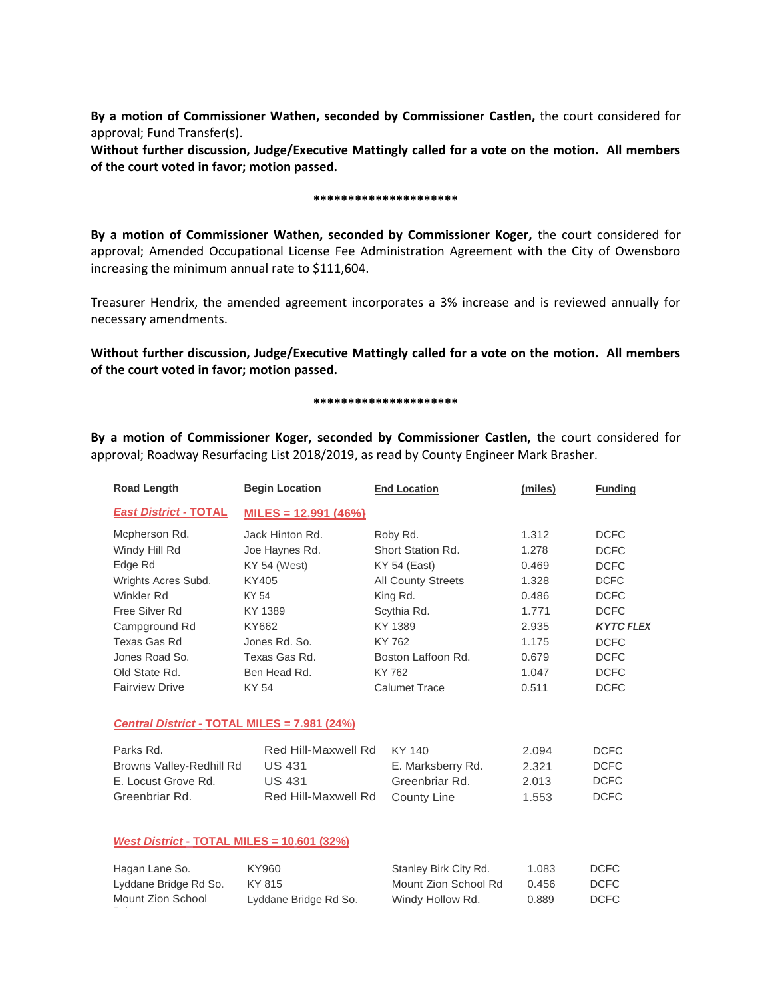**By a motion of Commissioner Wathen, seconded by Commissioner Castlen,** the court considered for approval; Fund Transfer(s).

**Without further discussion, Judge/Executive Mattingly called for a vote on the motion. All members of the court voted in favor; motion passed.** 

#### **\*\*\*\*\*\*\*\*\*\*\*\*\*\*\*\*\*\*\*\*\***

**By a motion of Commissioner Wathen, seconded by Commissioner Koger,** the court considered for approval; Amended Occupational License Fee Administration Agreement with the City of Owensboro increasing the minimum annual rate to \$111,604.

Treasurer Hendrix, the amended agreement incorporates a 3% increase and is reviewed annually for necessary amendments.

**Without further discussion, Judge/Executive Mattingly called for a vote on the motion. All members of the court voted in favor; motion passed.** 

#### **\*\*\*\*\*\*\*\*\*\*\*\*\*\*\*\*\*\*\*\*\***

**By a motion of Commissioner Koger, seconded by Commissioner Castlen,** the court considered for approval; Roadway Resurfacing List 2018/2019, as read by County Engineer Mark Brasher.

| <b>Road Length</b>                                | <b>Begin Location</b>  | <b>End Location</b>       | (miles) | <b>Funding</b>   |
|---------------------------------------------------|------------------------|---------------------------|---------|------------------|
| <b>East District - TOTAL</b>                      | $MILES = 12.991 (46%)$ |                           |         |                  |
| Mcpherson Rd.                                     | Jack Hinton Rd.        | Roby Rd.                  | 1.312   | <b>DCFC</b>      |
| Windy Hill Rd                                     | Joe Haynes Rd.         | Short Station Rd.         | 1.278   | <b>DCFC</b>      |
| Edge Rd                                           | KY 54 (West)           | KY 54 (East)              | 0.469   | <b>DCFC</b>      |
| Wrights Acres Subd.                               | KY405                  | <b>All County Streets</b> | 1.328   | <b>DCFC</b>      |
| Winkler Rd                                        | KY 54                  | King Rd.                  | 0.486   | <b>DCFC</b>      |
| Free Silver Rd                                    | KY 1389                | Scythia Rd.               | 1.771   | <b>DCFC</b>      |
| Campground Rd                                     | KY662                  | KY 1389                   | 2.935   | <b>KYTC FLEX</b> |
| Texas Gas Rd                                      | Jones Rd. So.          | KY 762                    | 1.175   | <b>DCFC</b>      |
| Jones Road So.                                    | Texas Gas Rd.          | Boston Laffoon Rd.        | 0.679   | <b>DCFC</b>      |
| Old State Rd.                                     | Ben Head Rd.           | KY 762                    | 1.047   | <b>DCFC</b>      |
| <b>Fairview Drive</b>                             | KY 54                  | <b>Calumet Trace</b>      | 0.511   | <b>DCFC</b>      |
| Central District - TOTAL MILES = 7.981 (24%)      |                        |                           |         |                  |
| Parks Rd.                                         | Red Hill-Maxwell Rd    | KY 140                    | 2.094   | <b>DCFC</b>      |
| Browns Valley-Redhill Rd                          | <b>US 431</b>          | E. Marksberry Rd.         | 2.321   | <b>DCFC</b>      |
| E. Locust Grove Rd.                               | <b>US 431</b>          | Greenbriar Rd.            | 2.013   | <b>DCFC</b>      |
| Greenbriar Rd.                                    | Red Hill-Maxwell Rd    | County Line               | 1.553   | <b>DCFC</b>      |
|                                                   |                        |                           |         |                  |
| <b>West District - TOTAL MILES = 10.601 (32%)</b> |                        |                           |         |                  |
| Hagan Lane So.                                    | KY960                  | Stanley Birk City Rd.     | 1.083   | <b>DCFC</b>      |
| Lyddane Bridge Rd So.                             | KY 815                 | Mount Zion School Rd      | 0.456   | <b>DCFC</b>      |
| Mount Zion School                                 | Lyddane Bridge Rd So.  | Windy Hollow Rd.          | 0.889   | <b>DCFC</b>      |
|                                                   |                        |                           |         |                  |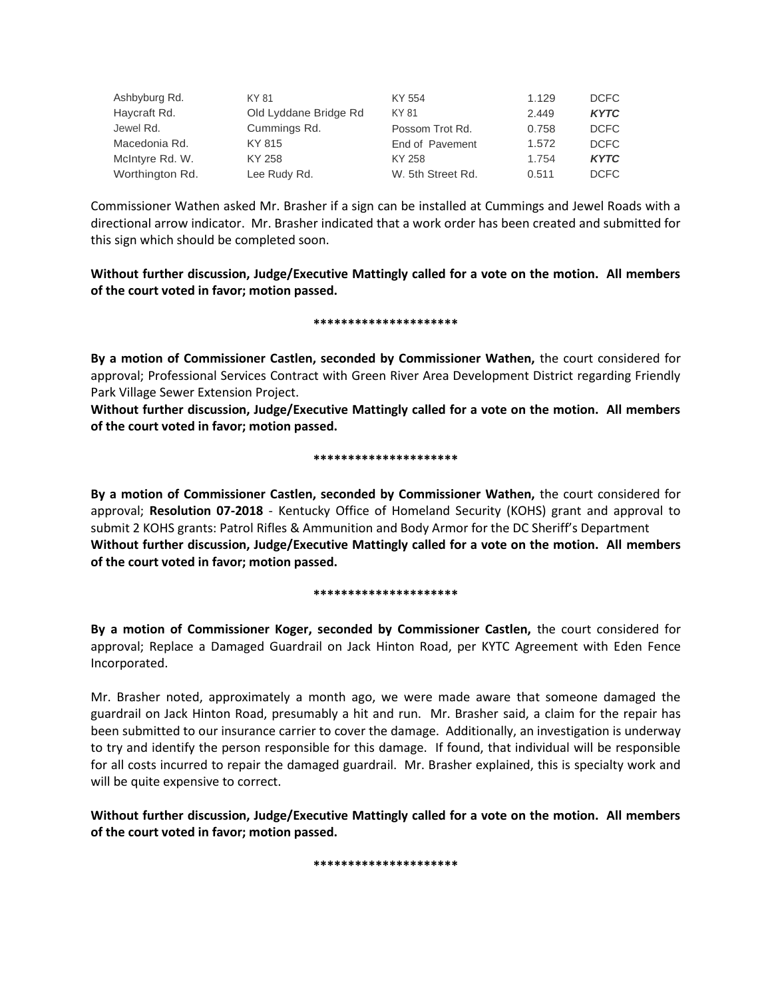| Ashbyburg Rd.   | KY 81                 | KY 554            | 1.129 | <b>DCFC</b> |
|-----------------|-----------------------|-------------------|-------|-------------|
| Haycraft Rd.    | Old Lyddane Bridge Rd | KY 81             | 2.449 | <b>KYTC</b> |
| Jewel Rd.       | Cummings Rd.          | Possom Trot Rd.   | 0.758 | <b>DCFC</b> |
| Macedonia Rd.   | KY 815                | End of Pavement   | 1.572 | <b>DCFC</b> |
| McIntyre Rd. W. | KY 258                | KY 258            | 1.754 | <b>KYTC</b> |
| Worthington Rd. | Lee Rudy Rd.          | W. 5th Street Rd. | 0.511 | <b>DCFC</b> |

Commissioner Wathen asked Mr. Brasher if a sign can be installed at Cummings and Jewel Roads with a directional arrow indicator. Mr. Brasher indicated that a work order has been created and submitted for this sign which should be completed soon.

**Without further discussion, Judge/Executive Mattingly called for a vote on the motion. All members of the court voted in favor; motion passed.** 

### **\*\*\*\*\*\*\*\*\*\*\*\*\*\*\*\*\*\*\*\*\***

**By a motion of Commissioner Castlen, seconded by Commissioner Wathen,** the court considered for approval; Professional Services Contract with Green River Area Development District regarding Friendly Park Village Sewer Extension Project.

**Without further discussion, Judge/Executive Mattingly called for a vote on the motion. All members of the court voted in favor; motion passed.** 

### **\*\*\*\*\*\*\*\*\*\*\*\*\*\*\*\*\*\*\*\*\***

**By a motion of Commissioner Castlen, seconded by Commissioner Wathen,** the court considered for approval; **Resolution 07-2018** - Kentucky Office of Homeland Security (KOHS) grant and approval to submit 2 KOHS grants: Patrol Rifles & Ammunition and Body Armor for the DC Sheriff's Department **Without further discussion, Judge/Executive Mattingly called for a vote on the motion. All members of the court voted in favor; motion passed.** 

# **\*\*\*\*\*\*\*\*\*\*\*\*\*\*\*\*\*\*\*\*\***

**By a motion of Commissioner Koger, seconded by Commissioner Castlen,** the court considered for approval; Replace a Damaged Guardrail on Jack Hinton Road, per KYTC Agreement with Eden Fence Incorporated.

Mr. Brasher noted, approximately a month ago, we were made aware that someone damaged the guardrail on Jack Hinton Road, presumably a hit and run. Mr. Brasher said, a claim for the repair has been submitted to our insurance carrier to cover the damage. Additionally, an investigation is underway to try and identify the person responsible for this damage. If found, that individual will be responsible for all costs incurred to repair the damaged guardrail. Mr. Brasher explained, this is specialty work and will be quite expensive to correct.

**Without further discussion, Judge/Executive Mattingly called for a vote on the motion. All members of the court voted in favor; motion passed.** 

**\*\*\*\*\*\*\*\*\*\*\*\*\*\*\*\*\*\*\*\*\***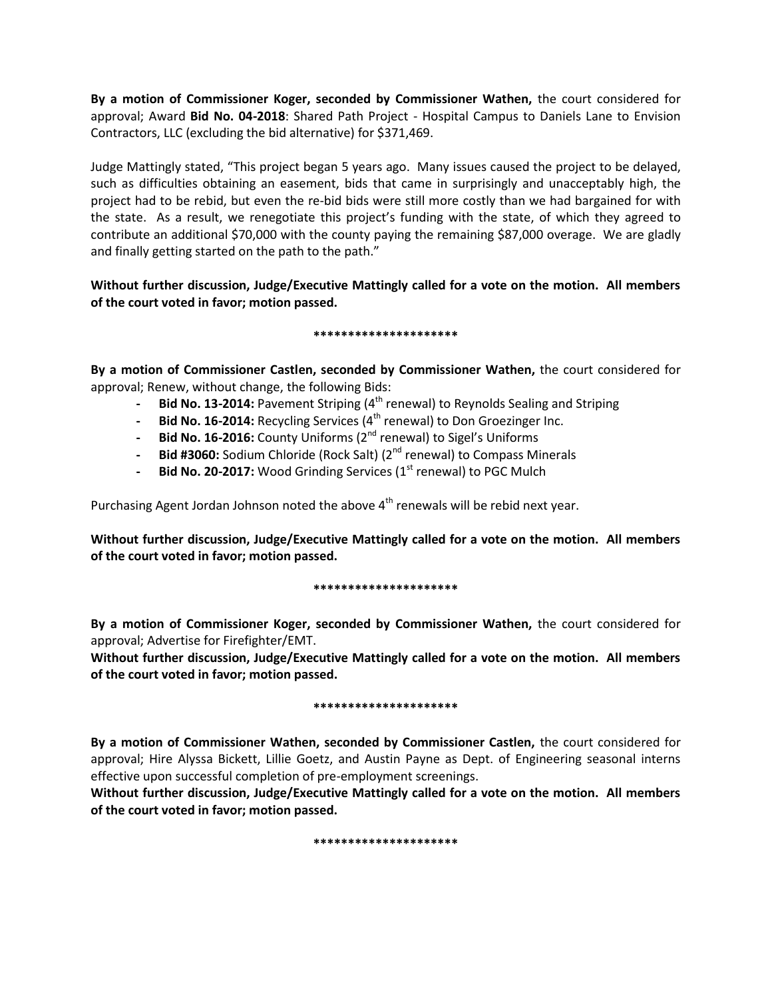**By a motion of Commissioner Koger, seconded by Commissioner Wathen,** the court considered for approval; Award **Bid No. 04-2018**: Shared Path Project - Hospital Campus to Daniels Lane to Envision Contractors, LLC (excluding the bid alternative) for \$371,469.

Judge Mattingly stated, "This project began 5 years ago. Many issues caused the project to be delayed, such as difficulties obtaining an easement, bids that came in surprisingly and unacceptably high, the project had to be rebid, but even the re-bid bids were still more costly than we had bargained for with the state. As a result, we renegotiate this project's funding with the state, of which they agreed to contribute an additional \$70,000 with the county paying the remaining \$87,000 overage. We are gladly and finally getting started on the path to the path."

**Without further discussion, Judge/Executive Mattingly called for a vote on the motion. All members of the court voted in favor; motion passed.** 

# **\*\*\*\*\*\*\*\*\*\*\*\*\*\*\*\*\*\*\*\*\***

**By a motion of Commissioner Castlen, seconded by Commissioner Wathen,** the court considered for approval; Renew, without change, the following Bids:

- **- Bid No. 13-2014:** Pavement Striping (4 th renewal) to Reynolds Sealing and Striping
- **- Bid No. 16-2014:** Recycling Services (4 th renewal) to Don Groezinger Inc.
- **Bid No. 16-2016:** County Uniforms (2<sup>nd</sup> renewal) to Sigel's Uniforms
- **- Bid #3060:** Sodium Chloride (Rock Salt) (2<sup>nd</sup> renewal) to Compass Minerals
- **Bid No. 20-2017:** Wood Grinding Services (1st renewal) to PGC Mulch

Purchasing Agent Jordan Johnson noted the above  $4<sup>th</sup>$  renewals will be rebid next year.

**Without further discussion, Judge/Executive Mattingly called for a vote on the motion. All members of the court voted in favor; motion passed.** 

# **\*\*\*\*\*\*\*\*\*\*\*\*\*\*\*\*\*\*\*\*\***

**By a motion of Commissioner Koger, seconded by Commissioner Wathen,** the court considered for approval; Advertise for Firefighter/EMT.

**Without further discussion, Judge/Executive Mattingly called for a vote on the motion. All members of the court voted in favor; motion passed.** 

# **\*\*\*\*\*\*\*\*\*\*\*\*\*\*\*\*\*\*\*\*\***

**By a motion of Commissioner Wathen, seconded by Commissioner Castlen,** the court considered for approval; Hire Alyssa Bickett, Lillie Goetz, and Austin Payne as Dept. of Engineering seasonal interns effective upon successful completion of pre-employment screenings.

**Without further discussion, Judge/Executive Mattingly called for a vote on the motion. All members of the court voted in favor; motion passed.** 

### **\*\*\*\*\*\*\*\*\*\*\*\*\*\*\*\*\*\*\*\*\***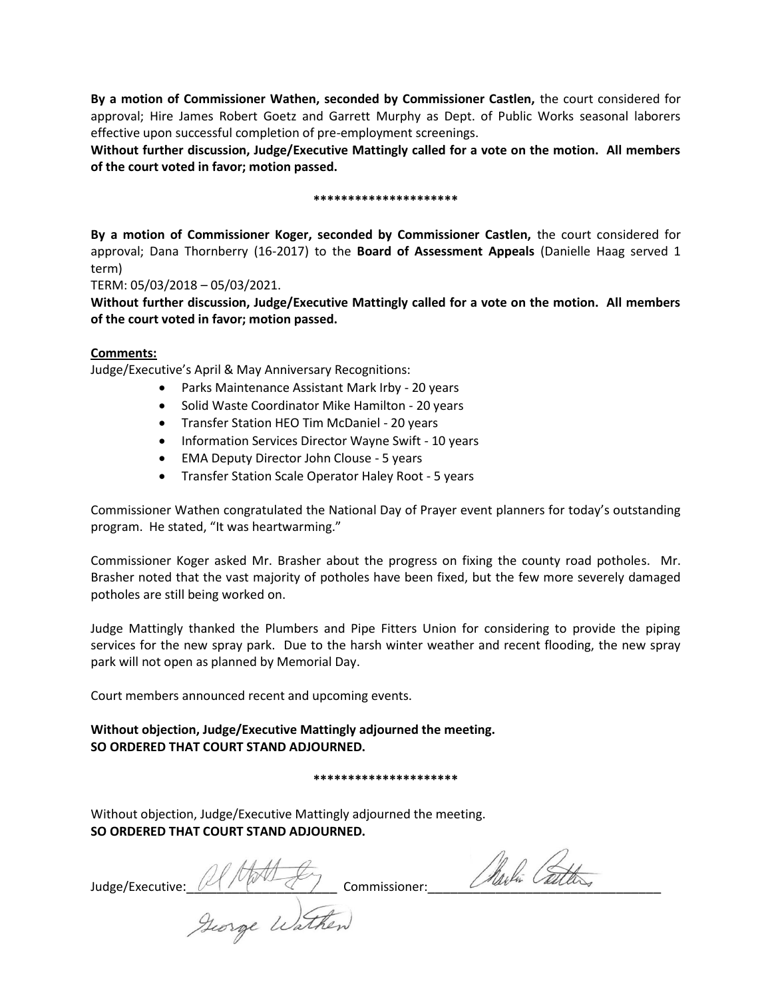**By a motion of Commissioner Wathen, seconded by Commissioner Castlen,** the court considered for approval; Hire James Robert Goetz and Garrett Murphy as Dept. of Public Works seasonal laborers effective upon successful completion of pre-employment screenings.

**Without further discussion, Judge/Executive Mattingly called for a vote on the motion. All members of the court voted in favor; motion passed.** 

### **\*\*\*\*\*\*\*\*\*\*\*\*\*\*\*\*\*\*\*\*\***

**By a motion of Commissioner Koger, seconded by Commissioner Castlen,** the court considered for approval; Dana Thornberry (16-2017) to the **Board of Assessment Appeals** (Danielle Haag served 1 term)

TERM: 05/03/2018 – 05/03/2021.

**Without further discussion, Judge/Executive Mattingly called for a vote on the motion. All members of the court voted in favor; motion passed.** 

# **Comments:**

Judge/Executive's April & May Anniversary Recognitions:

- Parks Maintenance Assistant Mark Irby 20 years
- Solid Waste Coordinator Mike Hamilton 20 years
- Transfer Station HEO Tim McDaniel 20 years
- Information Services Director Wayne Swift 10 years
- EMA Deputy Director John Clouse 5 years
- Transfer Station Scale Operator Haley Root 5 years

Commissioner Wathen congratulated the National Day of Prayer event planners for today's outstanding program. He stated, "It was heartwarming."

Commissioner Koger asked Mr. Brasher about the progress on fixing the county road potholes. Mr. Brasher noted that the vast majority of potholes have been fixed, but the few more severely damaged potholes are still being worked on.

Judge Mattingly thanked the Plumbers and Pipe Fitters Union for considering to provide the piping services for the new spray park. Due to the harsh winter weather and recent flooding, the new spray park will not open as planned by Memorial Day.

Court members announced recent and upcoming events.

**Without objection, Judge/Executive Mattingly adjourned the meeting. SO ORDERED THAT COURT STAND ADJOURNED.**

**\*\*\*\*\*\*\*\*\*\*\*\*\*\*\*\*\*\*\*\*\***

Without objection, Judge/Executive Mattingly adjourned the meeting. **SO ORDERED THAT COURT STAND ADJOURNED.**

Judge/Executive: AMAL for commissioner: Alerla Cattles